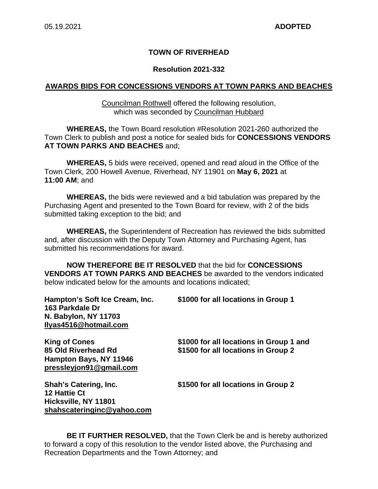### **TOWN OF RIVERHEAD**

#### **Resolution 2021-332**

#### **AWARDS BIDS FOR CONCESSIONS VENDORS AT TOWN PARKS AND BEACHES**

#### Councilman Rothwell offered the following resolution, which was seconded by Councilman Hubbard

**WHEREAS,** the Town Board resolution #Resolution 2021-260 authorized the Town Clerk to publish and post a notice for sealed bids for **CONCESSIONS VENDORS AT TOWN PARKS AND BEACHES** and;

**WHEREAS,** 5 bids were received, opened and read aloud in the Office of the Town Clerk, 200 Howell Avenue, Riverhead, NY 11901 on **May 6, 2021** at **11:00 AM**; and

**WHEREAS,** the bids were reviewed and a bid tabulation was prepared by the Purchasing Agent and presented to the Town Board for review, with 2 of the bids submitted taking exception to the bid; and

**WHEREAS,** the Superintendent of Recreation has reviewed the bids submitted and, after discussion with the Deputy Town Attorney and Purchasing Agent, has submitted his recommendations for award.

**NOW THEREFORE BE IT RESOLVED** that the bid for **CONCESSIONS VENDORS AT TOWN PARKS AND BEACHES** be awarded to the vendors indicated below indicated below for the amounts and locations indicated;

| Hampton's Soft Ice Cream, Inc.<br>163 Parkdale Dr<br><b>N. Babylon, NY 11703</b><br>Ilyas4516@hotmail.com | \$1000 for all locations in Group 1                                            |
|-----------------------------------------------------------------------------------------------------------|--------------------------------------------------------------------------------|
| <b>King of Cones</b><br>85 Old Riverhead Rd<br>Hampton Bays, NY 11946<br>pressleyjon91@gmail.com          | \$1000 for all locations in Group 1 and<br>\$1500 for all locations in Group 2 |
| <b>Shah's Catering, Inc.</b><br>12 Hattie Ct<br>Hicksville, NY 11801<br>shahscateringinc@yahoo.com        | \$1500 for all locations in Group 2                                            |

**BE IT FURTHER RESOLVED,** that the Town Clerk be and is hereby authorized to forward a copy of this resolution to the vendor listed above, the Purchasing and Recreation Departments and the Town Attorney; and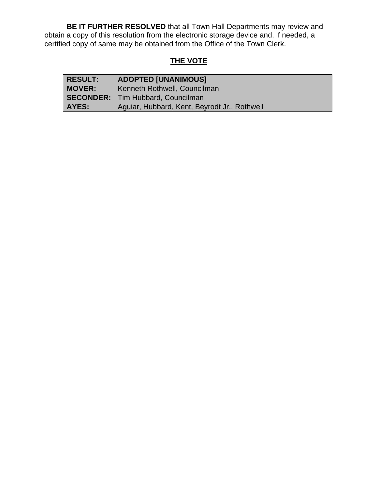**BE IT FURTHER RESOLVED** that all Town Hall Departments may review and obtain a copy of this resolution from the electronic storage device and, if needed, a certified copy of same may be obtained from the Office of the Town Clerk.

# **THE VOTE**

| <b>RESULT:</b> | <b>ADOPTED [UNANIMOUS]</b>                   |
|----------------|----------------------------------------------|
| <b>MOVER:</b>  | Kenneth Rothwell, Councilman                 |
|                | <b>SECONDER:</b> Tim Hubbard, Councilman     |
| AYES:          | Aguiar, Hubbard, Kent, Beyrodt Jr., Rothwell |